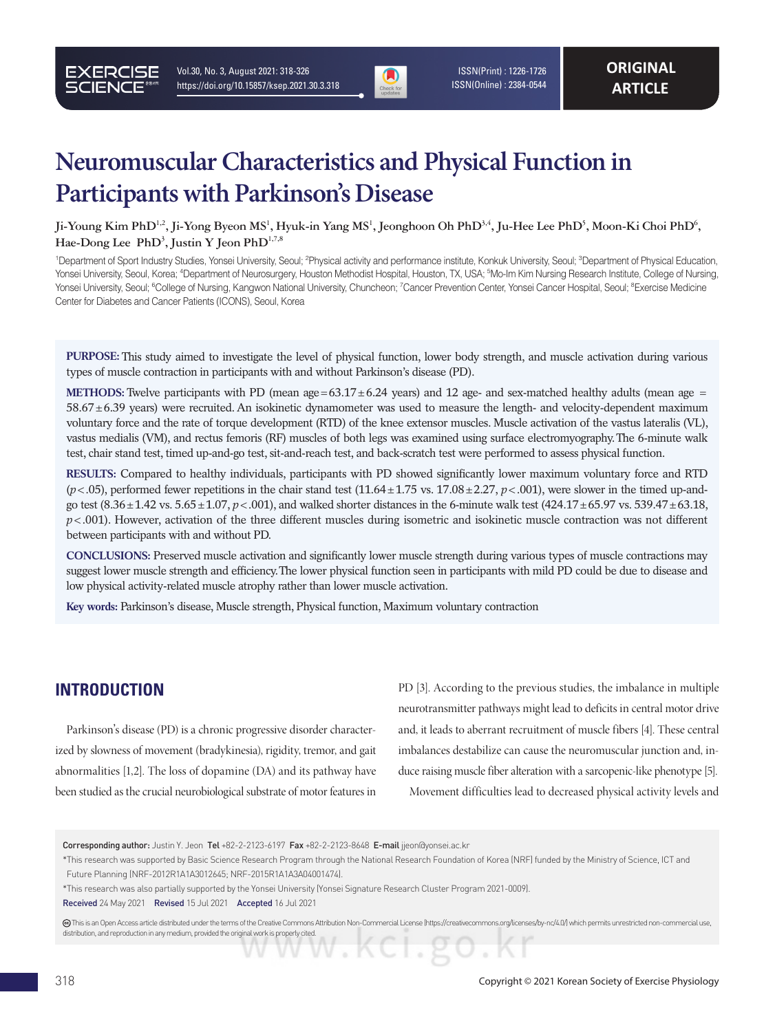

 ISSN(Print) : 1226-1726 ISSN(Online) : 2384-0544

# **Neuromuscular Characteristics and Physical Function in Participants with Parkinson's Disease**

<code>Ji-Young Kim PhD $^{1,2}$ , Ji-Yong Byeon MS $^1$ , Hyuk-in Yang MS $^1$ , Jeonghoon Oh PhD $^{3,4}$ , Ju-Hee Lee PhD $^5$ , Moon-Ki Choi PhD $^6$ ,</code> Hae-Dong Lee PhD<sup>3</sup>, Justin Y Jeon PhD<sup>1,7,8</sup>

<sup>1</sup>Department of Sport Industry Studies, Yonsei University, Seoul; <sup>2</sup>Physical activity and performance institute, Konkuk University, Seoul; <sup>3</sup>Department of Physical Education, Yonsei University, Seoul, Korea; <sup>4</sup>Department of Neurosurgery, Houston Methodist Hospital, Houston, TX, USA; <sup>s</sup>Mo-Im Kim Nursing Research Institute, College of Nursing, Yonsei University, Seoul; <sup>6</sup>College of Nursing, Kangwon National University, Chuncheon; <sup>7</sup>Cancer Prevention Center, Yonsei Cancer Hospital, Seoul; <sup>8</sup>Exercise Medicine Center for Diabetes and Cancer Patients (ICONS), Seoul, Korea

**PURPOSE:** This study aimed to investigate the level of physical function, lower body strength, and muscle activation during various types of muscle contraction in participants with and without Parkinson's disease (PD).

**METHODS:** Twelve participants with PD (mean age =  $63.17 \pm 6.24$  years) and 12 age- and sex-matched healthy adults (mean age = 58.67±6.39 years) were recruited. An isokinetic dynamometer was used to measure the length- and velocity-dependent maximum voluntary force and the rate of torque development (RTD) of the knee extensor muscles. Muscle activation of the vastus lateralis (VL), vastus medialis (VM), and rectus femoris (RF) muscles of both legs was examined using surface electromyography. The 6-minute walk test, chair stand test, timed up-and-go test, sit-and-reach test, and back-scratch test were performed to assess physical function.

**RESULTS:** Compared to healthy individuals, participants with PD showed significantly lower maximum voluntary force and RTD  $(p<0.05)$ , performed fewer repetitions in the chair stand test  $(11.64 \pm 1.75 \text{ vs. } 17.08 \pm 2.27, p<0.01)$ , were slower in the timed up-andgo test (8.36±1.42 vs. 5.65±1.07, *p*<.001), and walked shorter distances in the 6-minute walk test (424.17±65.97 vs. 539.47±63.18,  $p$ <.001). However, activation of the three different muscles during isometric and isokinetic muscle contraction was not different between participants with and without PD.

**CONCLUSIONS:** Preserved muscle activation and significantly lower muscle strength during various types of muscle contractions may suggest lower muscle strength and efficiency. The lower physical function seen in participants with mild PD could be due to disease and low physical activity-related muscle atrophy rather than lower muscle activation.

**Key words:** Parkinson's disease, Muscle strength, Physical function, Maximum voluntary contraction

### **INTRODUCTION**

Parkinson's disease (PD) is a chronic progressive disorder characterized by slowness of movement (bradykinesia), rigidity, tremor, and gait abnormalities [1,2]. The loss of dopamine (DA) and its pathway have been studied as the crucial neurobiological substrate of motor features in

PD [3]. According to the previous studies, the imbalance in multiple neurotransmitter pathways might lead to deficits in central motor drive and, it leads to aberrant recruitment of muscle fibers [4]. These central imbalances destabilize can cause the neuromuscular junction and, induce raising muscle fiber alteration with a sarcopenic-like phenotype [5].

Movement difficulties lead to decreased physical activity levels and

 This is an Open Access article distributed under the terms of the Creative Commons Attribution Non-Commercial License (https://creativecommons.org/licenses/by-nc/4.0/) which permits unrestricted non-commercial use, distribution, and reproduction in any medium, provided the original work is properly cited.

Corresponding author: Justin Y. Jeon Tel +82-2-2123-6197 Fax +82-2-2123-8648 E-mail jjeon@yonsei.ac.kr

<sup>\*</sup> This research was supported by Basic Science Research Program through the National Research Foundation of Korea (NRF) funded by the Ministry of Science, ICT and Future Planning (NRF-2012R1A1A3012645; NRF-2015R1A1A3A04001474).

<sup>\*</sup> This research was also partially supported by the Yonsei University (Yonsei Signature Research Cluster Program 2021-0009).

Received 24 May 2021 Revised 15 Jul 2021 Accepted 16 Jul 2021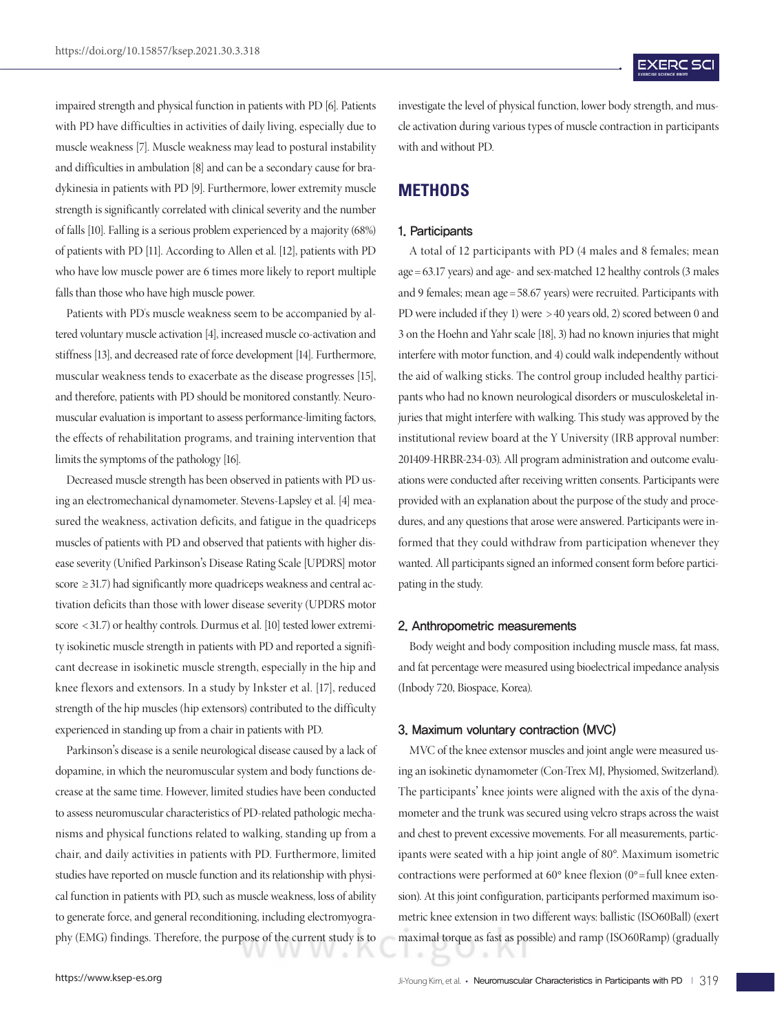impaired strength and physical function in patients with PD [6]. Patients with PD have difficulties in activities of daily living, especially due to muscle weakness [7]. Muscle weakness may lead to postural instability and difficulties in ambulation [8] and can be a secondary cause for bradykinesia in patients with PD [9]. Furthermore, lower extremity muscle strength is significantly correlated with clinical severity and the number of falls [10]. Falling is a serious problem experienced by a majority (68%) of patients with PD [11]. According to Allen et al. [12], patients with PD who have low muscle power are 6 times more likely to report multiple falls than those who have high muscle power.

Patients with PD's muscle weakness seem to be accompanied by altered voluntary muscle activation [4], increased muscle co-activation and stiffness [13], and decreased rate of force development [14]. Furthermore, muscular weakness tends to exacerbate as the disease progresses [15], and therefore, patients with PD should be monitored constantly. Neuromuscular evaluation is important to assess performance-limiting factors, the effects of rehabilitation programs, and training intervention that limits the symptoms of the pathology [16].

Decreased muscle strength has been observed in patients with PD using an electromechanical dynamometer. Stevens-Lapsley et al. [4] measured the weakness, activation deficits, and fatigue in the quadriceps muscles of patients with PD and observed that patients with higher disease severity (Unified Parkinson's Disease Rating Scale [UPDRS] motor score ≥ 31.7) had significantly more quadriceps weakness and central activation deficits than those with lower disease severity (UPDRS motor score < 31.7) or healthy controls. Durmus et al. [10] tested lower extremity isokinetic muscle strength in patients with PD and reported a significant decrease in isokinetic muscle strength, especially in the hip and knee flexors and extensors. In a study by Inkster et al. [17], reduced strength of the hip muscles (hip extensors) contributed to the difficulty experienced in standing up from a chair in patients with PD.

Parkinson's disease is a senile neurological disease caused by a lack of dopamine, in which the neuromuscular system and body functions decrease at the same time. However, limited studies have been conducted to assess neuromuscular characteristics of PD-related pathologic mechanisms and physical functions related to walking, standing up from a chair, and daily activities in patients with PD. Furthermore, limited studies have reported on muscle function and its relationship with physical function in patients with PD, such as muscle weakness, loss of ability to generate force, and general reconditioning, including electromyography (EMG) findings. Therefore, the purpose of the current study is to

investigate the level of physical function, lower body strength, and muscle activation during various types of muscle contraction in participants with and without PD.

### **METHODS**

#### 1. Participants

A total of 12 participants with PD (4 males and 8 females; mean age = 63.17 years) and age- and sex-matched 12 healthy controls (3 males and 9 females; mean age =58.67 years) were recruited. Participants with PD were included if they 1) were > 40 years old, 2) scored between 0 and 3 on the Hoehn and Yahr scale [18], 3) had no known injuries that might interfere with motor function, and 4) could walk independently without the aid of walking sticks. The control group included healthy participants who had no known neurological disorders or musculoskeletal injuries that might interfere with walking. This study was approved by the institutional review board at the Y University (IRB approval number: 201409-HRBR-234-03). All program administration and outcome evaluations were conducted after receiving written consents. Participants were provided with an explanation about the purpose of the study and procedures, and any questions that arose were answered. Participants were informed that they could withdraw from participation whenever they wanted. All participants signed an informed consent form before participating in the study.

#### 2. Anthropometric measurements

Body weight and body composition including muscle mass, fat mass, and fat percentage were measured using bioelectrical impedance analysis (Inbody 720, Biospace, Korea).

#### 3. Maximum voluntary contraction (MVC)

MVC of the knee extensor muscles and joint angle were measured using an isokinetic dynamometer (Con-Trex MJ, Physiomed, Switzerland). The participants' knee joints were aligned with the axis of the dynamometer and the trunk was secured using velcro straps across the waist and chest to prevent excessive movements. For all measurements, participants were seated with a hip joint angle of 80°. Maximum isometric contractions were performed at  $60^{\circ}$  knee flexion  $(0^{\circ}$ =full knee extension). At this joint configuration, participants performed maximum isometric knee extension in two different ways: ballistic (ISO60Ball) (exert maximal torque as fast as possible) and ramp (ISO60Ramp) (gradually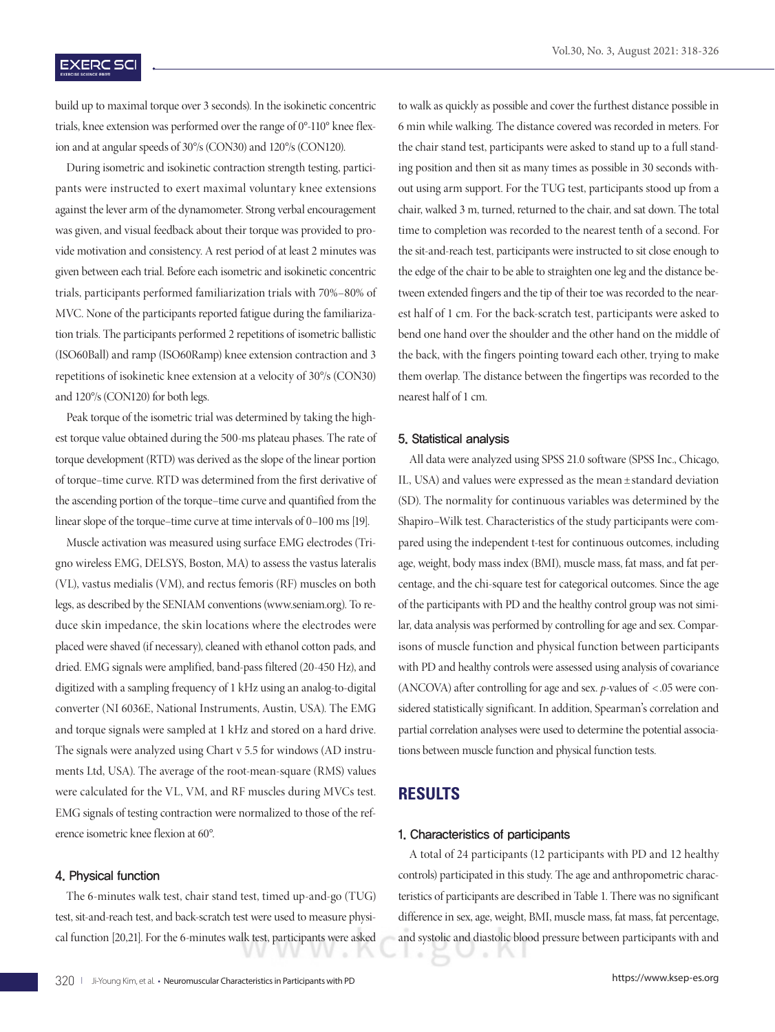### **EXERC SCI**

build up to maximal torque over 3 seconds). In the isokinetic concentric trials, knee extension was performed over the range of 0°-110° knee flexion and at angular speeds of 30°/s (CON30) and 120°/s (CON120).

During isometric and isokinetic contraction strength testing, participants were instructed to exert maximal voluntary knee extensions against the lever arm of the dynamometer. Strong verbal encouragement was given, and visual feedback about their torque was provided to provide motivation and consistency. A rest period of at least 2 minutes was given between each trial. Before each isometric and isokinetic concentric trials, participants performed familiarization trials with 70%–80% of MVC. None of the participants reported fatigue during the familiarization trials. The participants performed 2 repetitions of isometric ballistic (ISO60Ball) and ramp (ISO60Ramp) knee extension contraction and 3 repetitions of isokinetic knee extension at a velocity of 30°/s (CON30) and 120°/s (CON120) for both legs.

Peak torque of the isometric trial was determined by taking the highest torque value obtained during the 500-ms plateau phases. The rate of torque development (RTD) was derived as the slope of the linear portion of torque–time curve. RTD was determined from the first derivative of the ascending portion of the torque–time curve and quantified from the linear slope of the torque–time curve at time intervals of 0–100 ms [19].

Muscle activation was measured using surface EMG electrodes (Trigno wireless EMG, DELSYS, Boston, MA) to assess the vastus lateralis (VL), vastus medialis (VM), and rectus femoris (RF) muscles on both legs, as described by the SENIAM conventions (www.seniam.org). To reduce skin impedance, the skin locations where the electrodes were placed were shaved (if necessary), cleaned with ethanol cotton pads, and dried. EMG signals were amplified, band-pass filtered (20-450 Hz), and digitized with a sampling frequency of 1 kHz using an analog-to-digital converter (NI 6036E, National Instruments, Austin, USA). The EMG and torque signals were sampled at 1 kHz and stored on a hard drive. The signals were analyzed using Chart v 5.5 for windows (AD instruments Ltd, USA). The average of the root-mean-square (RMS) values were calculated for the VL, VM, and RF muscles during MVCs test. EMG signals of testing contraction were normalized to those of the reference isometric knee flexion at 60°.

### 4. Physical function

The 6-minutes walk test, chair stand test, timed up-and-go (TUG) test, sit-and-reach test, and back-scratch test were used to measure physical function [20,21]. For the 6-minutes walk test, participants were asked to walk as quickly as possible and cover the furthest distance possible in 6 min while walking. The distance covered was recorded in meters. For the chair stand test, participants were asked to stand up to a full standing position and then sit as many times as possible in 30 seconds without using arm support. For the TUG test, participants stood up from a chair, walked 3 m, turned, returned to the chair, and sat down. The total time to completion was recorded to the nearest tenth of a second. For the sit-and-reach test, participants were instructed to sit close enough to the edge of the chair to be able to straighten one leg and the distance between extended fingers and the tip of their toe was recorded to the nearest half of 1 cm. For the back-scratch test, participants were asked to bend one hand over the shoulder and the other hand on the middle of the back, with the fingers pointing toward each other, trying to make them overlap. The distance between the fingertips was recorded to the nearest half of 1 cm.

#### 5. Statistical analysis

All data were analyzed using SPSS 21.0 software (SPSS Inc., Chicago, IL, USA) and values were expressed as the mean ±standard deviation (SD). The normality for continuous variables was determined by the Shapiro–Wilk test. Characteristics of the study participants were compared using the independent t-test for continuous outcomes, including age, weight, body mass index (BMI), muscle mass, fat mass, and fat percentage, and the chi-square test for categorical outcomes. Since the age of the participants with PD and the healthy control group was not similar, data analysis was performed by controlling for age and sex. Comparisons of muscle function and physical function between participants with PD and healthy controls were assessed using analysis of covariance (ANCOVA) after controlling for age and sex. *p*-values of < .05 were considered statistically significant. In addition, Spearman's correlation and partial correlation analyses were used to determine the potential associations between muscle function and physical function tests.

### **RESULTS**

#### 1. Characteristics of participants

A total of 24 participants (12 participants with PD and 12 healthy controls) participated in this study. The age and anthropometric characteristics of participants are described in Table 1. There was no significant difference in sex, age, weight, BMI, muscle mass, fat mass, fat percentage, and systolic and diastolic blood pressure between participants with and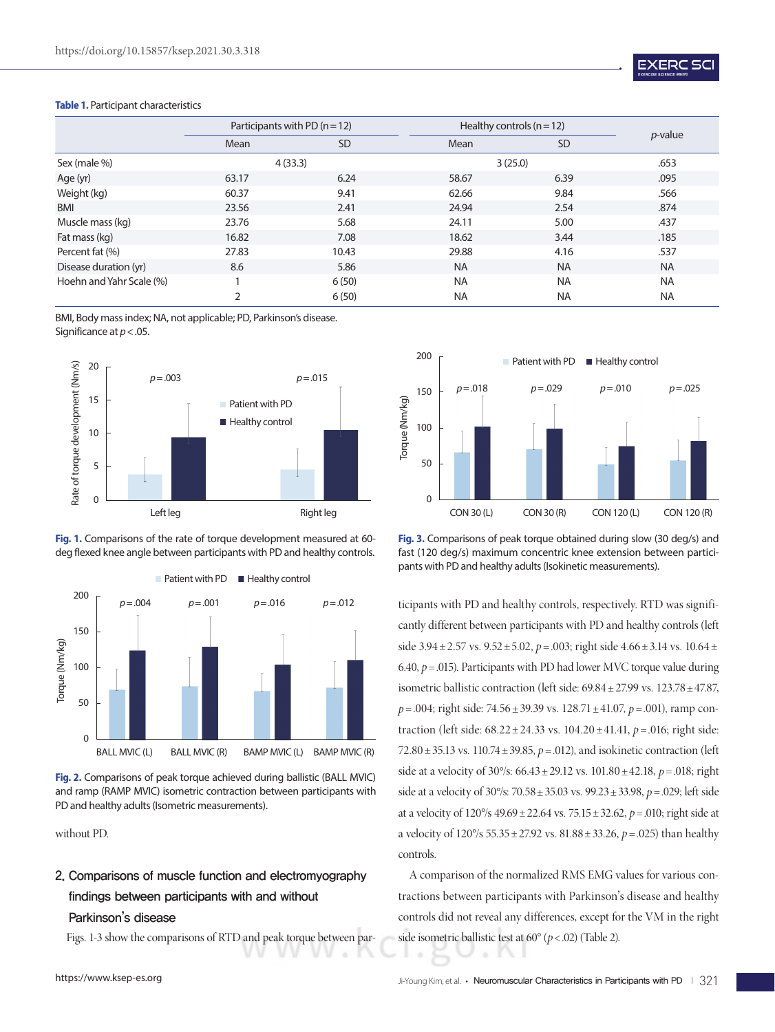

#### **Table 1.** Participant characteristics

|                          |       | Participants with PD $(n=12)$ | Healthy controls $(n=12)$ |           |                 |  |
|--------------------------|-------|-------------------------------|---------------------------|-----------|-----------------|--|
|                          | Mean  | <b>SD</b>                     | Mean                      | <b>SD</b> | <i>p</i> -value |  |
| Sex (male %)             |       | 4(33.3)                       | 3(25.0)                   | .653      |                 |  |
| Age (yr)                 | 63.17 | 6.24                          | 58.67                     | 6.39      | .095            |  |
| Weight (kg)              | 60.37 | 9.41                          | 62.66                     | 9.84      | .566            |  |
| <b>BMI</b>               | 23.56 | 2.41                          | 24.94                     | 2.54      | .874            |  |
| Muscle mass (kg)         | 23.76 | 5.68                          | 24.11                     | 5.00      | .437            |  |
| Fat mass (kg)            | 16.82 | 7.08                          | 18.62                     | 3.44      | .185            |  |
| Percent fat (%)          | 27.83 | 10.43                         | 29.88                     | 4.16      | .537            |  |
| Disease duration (yr)    | 8.6   | 5.86                          | <b>NA</b>                 | <b>NA</b> | <b>NA</b>       |  |
| Hoehn and Yahr Scale (%) |       | 6(50)                         | <b>NA</b>                 | <b>NA</b> | <b>NA</b>       |  |
|                          | 2     | 6(50)                         | <b>NA</b>                 | <b>NA</b> | <b>NA</b>       |  |

BMI, Body mass index; NA, not applicable; PD, Parkinson's disease. Significance at *p*<.05.







**Fig. 2.** Comparisons of peak torque achieved during ballistic (BALL MVIC) and ramp (RAMP MVIC) isometric contraction between participants with PD and healthy adults (Isometric measurements).

without PD.

# 2. Comparisons of muscle function and electromyography findings between participants with and without Parkinson's disease

Figs. 1-3 show the comparisons of RTD and peak torque between par-



**Fig. 3.** Comparisons of peak torque obtained during slow (30 deg/s) and fast (120 deg/s) maximum concentric knee extension between participants with PD and healthy adults (Isokinetic measurements).

ticipants with PD and healthy controls, respectively. RTD was significantly different between participants with PD and healthy controls (left side  $3.94 \pm 2.57$  vs.  $9.52 \pm 5.02$ ,  $p = .003$ ; right side  $4.66 \pm 3.14$  vs.  $10.64 \pm$ 6.40,  $p = 0.015$ ). Participants with PD had lower MVC torque value during isometric ballistic contraction (left side: 69.84±27.99 vs. 123.78±47.87, *p* = .004; right side: 74.56 ± 39.39 vs. 128.71 ± 41.07, *p* = .001), ramp contraction (left side: 68.22±24.33 vs. 104.20 ±41.41, *p* =.016; right side: 72.80±35.13 vs. 110.74±39.85, *p* =.012), and isokinetic contraction (left side at a velocity of  $30\%$ :  $66.43 \pm 29.12$  vs.  $101.80 \pm 42.18$ ,  $p = .018$ ; right side at a velocity of 30°/s: 70.58±35.03 vs. 99.23±33.98, *p* =.029; left side at a velocity of 120°/s 49.69±22.64 vs. 75.15±32.62, *p* =.010; right side at a velocity of 120°/s 55.35±27.92 vs. 81.88±33.26, *p* =.025) than healthy controls.

A comparison of the normalized RMS EMG values for various contractions between participants with Parkinson's disease and healthy controls did not reveal any differences, except for the VM in the right side isometric ballistic test at 60° (*p*< .02) (Table 2).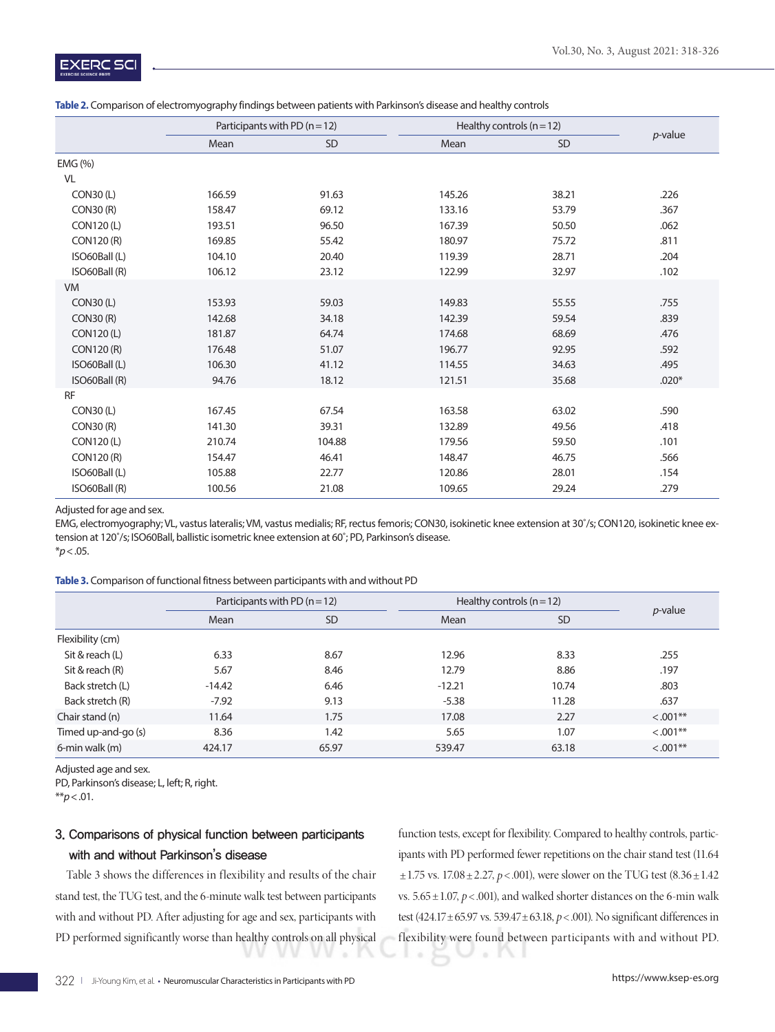|                  | Participants with PD $(n = 12)$ |           | Healthy controls $(n=12)$ | $p$ -value |         |
|------------------|---------------------------------|-----------|---------------------------|------------|---------|
|                  | Mean                            | <b>SD</b> | Mean                      | <b>SD</b>  |         |
| EMG (%)          |                                 |           |                           |            |         |
| VL               |                                 |           |                           |            |         |
| <b>CON30 (L)</b> | 166.59                          | 91.63     | 145.26                    | 38.21      | .226    |
| CON30(R)         | 158.47                          | 69.12     | 133.16                    | 53.79      | .367    |
| CON120(L)        | 193.51                          | 96.50     | 167.39                    | 50.50      | .062    |
| CON120 (R)       | 169.85                          | 55.42     | 180.97                    | 75.72      | .811    |
| ISO60Ball (L)    | 104.10                          | 20.40     | 119.39                    | 28.71      | .204    |
| ISO60Ball (R)    | 106.12                          | 23.12     | 122.99                    | 32.97      | .102    |
| <b>VM</b>        |                                 |           |                           |            |         |
| <b>CON30(L)</b>  | 153.93                          | 59.03     | 149.83                    | 55.55      | .755    |
| CON30(R)         | 142.68                          | 34.18     | 142.39                    | 59.54      | .839    |
| CON120(L)        | 181.87                          | 64.74     | 174.68                    | 68.69      | .476    |
| CON120 (R)       | 176.48                          | 51.07     | 196.77                    | 92.95      | .592    |
| ISO60Ball (L)    | 106.30                          | 41.12     | 114.55                    | 34.63      | .495    |
| ISO60Ball (R)    | 94.76                           | 18.12     | 121.51                    | 35.68      | $.020*$ |
| <b>RF</b>        |                                 |           |                           |            |         |
| <b>CON30 (L)</b> | 167.45                          | 67.54     | 163.58                    | 63.02      | .590    |
| <b>CON30 (R)</b> | 141.30                          | 39.31     | 132.89                    | 49.56      | .418    |
| CON120(L)        | 210.74                          | 104.88    | 179.56                    | 59.50      | .101    |
| CON120 (R)       | 154.47                          | 46.41     | 148.47                    | 46.75      | .566    |
| ISO60Ball (L)    | 105.88                          | 22.77     | 120.86                    | 28.01      | .154    |
| ISO60Ball (R)    | 100.56                          | 21.08     | 109.65                    | 29.24      | .279    |

#### **Table 2.** Comparison of electromyography findings between patients with Parkinson's disease and healthy controls

Adjusted for age and sex.

EMG, electromyography; VL, vastus lateralis; VM, vastus medialis; RF, rectus femoris; CON30, isokinetic knee extension at 30˚/s; CON120, isokinetic knee extension at 120˚/s; ISO60Ball, ballistic isometric knee extension at 60˚; PD, Parkinson's disease. \**p*<.05.

#### **Table 3.** Comparison of functional fitness between participants with and without PD

|                     |          | Participants with PD $(n=12)$ |          | Healthy controls $(n=12)$ |              |  |
|---------------------|----------|-------------------------------|----------|---------------------------|--------------|--|
|                     | Mean     | <b>SD</b>                     | Mean     | <b>SD</b>                 | $p$ -value   |  |
| Flexibility (cm)    |          |                               |          |                           |              |  |
| Sit & reach (L)     | 6.33     | 8.67                          | 12.96    | 8.33                      | .255         |  |
| Sit & reach (R)     | 5.67     | 8.46                          | 12.79    | 8.86                      | .197         |  |
| Back stretch (L)    | $-14.42$ | 6.46                          | $-12.21$ | 10.74                     | .803         |  |
| Back stretch (R)    | $-7.92$  | 9.13                          | $-5.38$  | 11.28                     | .637         |  |
| Chair stand (n)     | 11.64    | 1.75                          | 17.08    | 2.27                      | $< 0.001$ ** |  |
| Timed up-and-go (s) | 8.36     | 1.42                          | 5.65     | 1.07                      | $< .001**$   |  |
| 6-min walk (m)      | 424.17   | 65.97                         | 539.47   | 63.18                     | $< .001**$   |  |

Adjusted age and sex.

PD, Parkinson's disease; L, left; R, right.

\*\**p*<.01.

# 3. Comparisons of physical function between participants with and without Parkinson's disease

Table 3 shows the differences in flexibility and results of the chair stand test, the TUG test, and the 6-minute walk test between participants with and without PD. After adjusting for age and sex, participants with PD performed significantly worse than healthy controls on all physical function tests, except for flexibility. Compared to healthy controls, participants with PD performed fewer repetitions on the chair stand test (11.64  $\pm$  1.75 vs. 17.08  $\pm$  2.27, *p* < .001), were slower on the TUG test (8.36  $\pm$  1.42 vs.  $5.65 \pm 1.07$ ,  $p < .001$ ), and walked shorter distances on the 6-min walk test (424.17±65.97 vs. 539.47±63.18, *p*< .001). No significant differences in flexibility were found between participants with and without PD.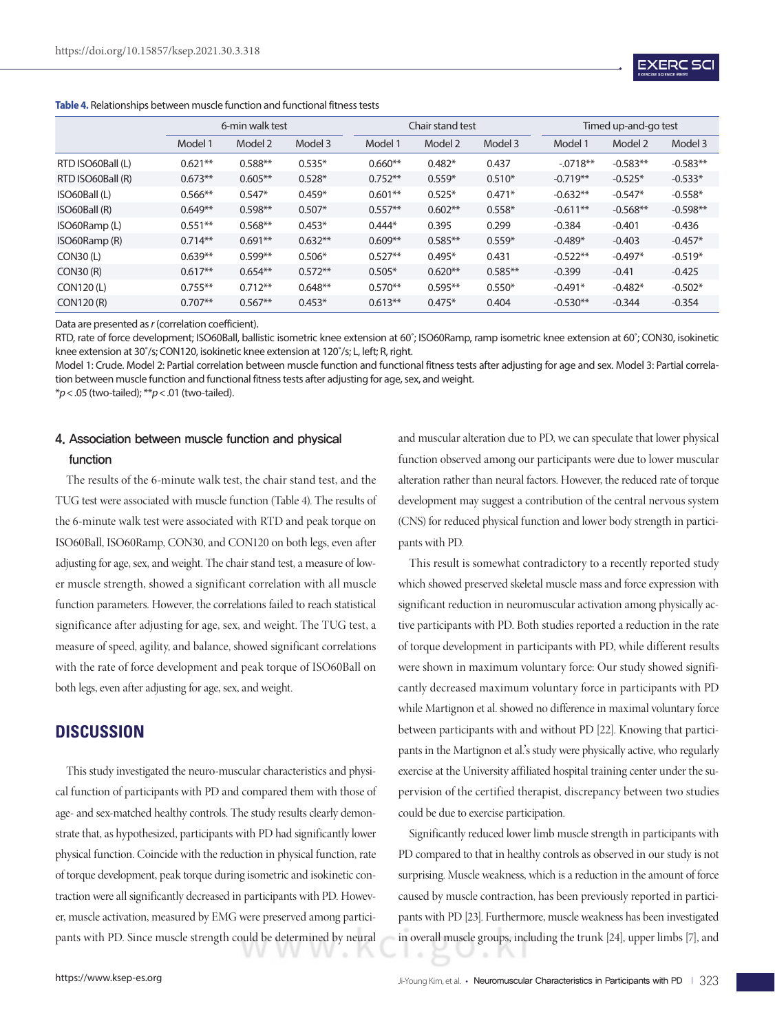

|                   | 6-min walk test |           |           |           | Chair stand test |           |            | Timed up-and-go test |            |  |
|-------------------|-----------------|-----------|-----------|-----------|------------------|-----------|------------|----------------------|------------|--|
|                   | Model 1         | Model 2   | Model 3   | Model 1   | Model 2          | Model 3   | Model 1    | Model 2              | Model 3    |  |
| RTD ISO60Ball (L) | $0.621**$       | $0.588**$ | $0.535*$  | $0.660**$ | $0.482*$         | 0.437     | $-0718**$  | $-0.583**$           | $-0.583**$ |  |
| RTD ISO60Ball (R) | $0.673**$       | $0.605**$ | $0.528*$  | $0.752**$ | $0.559*$         | $0.510*$  | $-0.719**$ | $-0.525*$            | $-0.533*$  |  |
| ISO60Ball (L)     | $0.566**$       | $0.547*$  | $0.459*$  | $0.601**$ | $0.525*$         | $0.471*$  | $-0.632**$ | $-0.547*$            | $-0.558*$  |  |
| ISO60Ball (R)     | $0.649**$       | $0.598**$ | $0.507*$  | $0.557**$ | $0.602**$        | $0.558*$  | $-0.611**$ | $-0.568**$           | $-0.598**$ |  |
| ISO60Ramp(L)      | $0.551**$       | $0.568**$ | $0.453*$  | $0.444*$  | 0.395            | 0.299     | $-0.384$   | $-0.401$             | $-0.436$   |  |
| ISO60Ramp (R)     | $0.714**$       | $0.691**$ | $0.632**$ | $0.609**$ | $0.585***$       | $0.559*$  | $-0.489*$  | $-0.403$             | $-0.457*$  |  |
| CON30(L)          | $0.639**$       | $0.599**$ | $0.506*$  | $0.527**$ | $0.495*$         | 0.431     | $-0.522**$ | $-0.497*$            | $-0.519*$  |  |
| CON30(R)          | $0.617**$       | $0.654**$ | $0.572**$ | $0.505*$  | $0.620**$        | $0.585**$ | $-0.399$   | $-0.41$              | $-0.425$   |  |
| CON120 (L)        | $0.755***$      | $0.712**$ | $0.648**$ | $0.570**$ | $0.595**$        | $0.550*$  | $-0.491*$  | $-0.482*$            | $-0.502*$  |  |
| CON120 (R)        | $0.707**$       | $0.567**$ | $0.453*$  | $0.613**$ | $0.475*$         | 0.404     | $-0.530**$ | $-0.344$             | $-0.354$   |  |

#### **Table 4.** Relationships between muscle function and functional fitness tests

Data are presented as *r* (correlation coefficient).

RTD, rate of force development; ISO60Ball, ballistic isometric knee extension at 60˚; ISO60Ramp, ramp isometric knee extension at 60˚; CON30, isokinetic knee extension at 30˚/s; CON120, isokinetic knee extension at 120˚/s; L, left; R, right.

Model 1: Crude. Model 2: Partial correlation between muscle function and functional fitness tests after adjusting for age and sex. Model 3: Partial correlation between muscle function and functional fitness tests after adjusting for age, sex, and weight.

\**p*<.05 (two-tailed); \*\**p*<.01 (two-tailed).

# 4. Association between muscle function and physical function

The results of the 6-minute walk test, the chair stand test, and the TUG test were associated with muscle function (Table 4). The results of the 6-minute walk test were associated with RTD and peak torque on ISO60Ball, ISO60Ramp, CON30, and CON120 on both legs, even after adjusting for age, sex, and weight. The chair stand test, a measure of lower muscle strength, showed a significant correlation with all muscle function parameters. However, the correlations failed to reach statistical significance after adjusting for age, sex, and weight. The TUG test, a measure of speed, agility, and balance, showed significant correlations with the rate of force development and peak torque of ISO60Ball on both legs, even after adjusting for age, sex, and weight.

# **DISCUSSION**

This study investigated the neuro-muscular characteristics and physical function of participants with PD and compared them with those of age- and sex-matched healthy controls. The study results clearly demonstrate that, as hypothesized, participants with PD had significantly lower physical function. Coincide with the reduction in physical function, rate of torque development, peak torque during isometric and isokinetic contraction were all significantly decreased in participants with PD. However, muscle activation, measured by EMG were preserved among participants with PD. Since muscle strength could be determined by neural

and muscular alteration due to PD, we can speculate that lower physical function observed among our participants were due to lower muscular alteration rather than neural factors. However, the reduced rate of torque development may suggest a contribution of the central nervous system (CNS) for reduced physical function and lower body strength in participants with PD.

This result is somewhat contradictory to a recently reported study which showed preserved skeletal muscle mass and force expression with significant reduction in neuromuscular activation among physically active participants with PD. Both studies reported a reduction in the rate of torque development in participants with PD, while different results were shown in maximum voluntary force: Our study showed significantly decreased maximum voluntary force in participants with PD while Martignon et al. showed no difference in maximal voluntary force between participants with and without PD [22]. Knowing that participants in the Martignon et al.'s study were physically active, who regularly exercise at the University affiliated hospital training center under the supervision of the certified therapist, discrepancy between two studies could be due to exercise participation.

Significantly reduced lower limb muscle strength in participants with PD compared to that in healthy controls as observed in our study is not surprising. Muscle weakness, which is a reduction in the amount of force caused by muscle contraction, has been previously reported in participants with PD [23]. Furthermore, muscle weakness has been investigated in overall muscle groups, including the trunk [24], upper limbs [7], and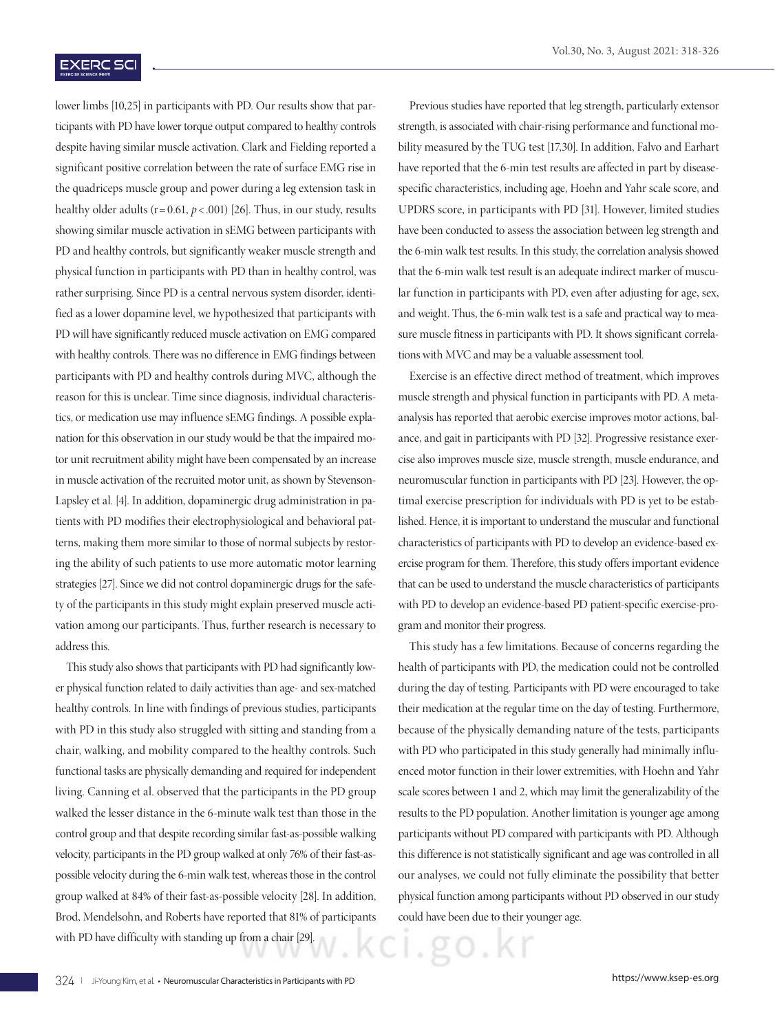### **EXERC SCI**

lower limbs [10,25] in participants with PD. Our results show that participants with PD have lower torque output compared to healthy controls despite having similar muscle activation. Clark and Fielding reported a significant positive correlation between the rate of surface EMG rise in the quadriceps muscle group and power during a leg extension task in healthy older adults  $(r= 0.61, p < .001)$  [26]. Thus, in our study, results showing similar muscle activation in sEMG between participants with PD and healthy controls, but significantly weaker muscle strength and physical function in participants with PD than in healthy control, was rather surprising. Since PD is a central nervous system disorder, identified as a lower dopamine level, we hypothesized that participants with PD will have significantly reduced muscle activation on EMG compared with healthy controls. There was no difference in EMG findings between participants with PD and healthy controls during MVC, although the reason for this is unclear. Time since diagnosis, individual characteristics, or medication use may influence sEMG findings. A possible explanation for this observation in our study would be that the impaired motor unit recruitment ability might have been compensated by an increase in muscle activation of the recruited motor unit, as shown by Stevenson-Lapsley et al. [4]. In addition, dopaminergic drug administration in patients with PD modifies their electrophysiological and behavioral patterns, making them more similar to those of normal subjects by restoring the ability of such patients to use more automatic motor learning strategies [27]. Since we did not control dopaminergic drugs for the safety of the participants in this study might explain preserved muscle activation among our participants. Thus, further research is necessary to address this.

This study also shows that participants with PD had significantly lower physical function related to daily activities than age- and sex-matched healthy controls. In line with findings of previous studies, participants with PD in this study also struggled with sitting and standing from a chair, walking, and mobility compared to the healthy controls. Such functional tasks are physically demanding and required for independent living. Canning et al. observed that the participants in the PD group walked the lesser distance in the 6-minute walk test than those in the control group and that despite recording similar fast-as-possible walking velocity, participants in the PD group walked at only 76% of their fast-aspossible velocity during the 6-min walk test, whereas those in the control group walked at 84% of their fast-as-possible velocity [28]. In addition, Brod, Mendelsohn, and Roberts have reported that 81% of participants with PD have difficulty with standing up from a chair [29].

Previous studies have reported that leg strength, particularly extensor strength, is associated with chair-rising performance and functional mobility measured by the TUG test [17,30]. In addition, Falvo and Earhart have reported that the 6-min test results are affected in part by diseasespecific characteristics, including age, Hoehn and Yahr scale score, and UPDRS score, in participants with PD [31]. However, limited studies have been conducted to assess the association between leg strength and the 6-min walk test results. In this study, the correlation analysis showed that the 6-min walk test result is an adequate indirect marker of muscular function in participants with PD, even after adjusting for age, sex, and weight. Thus, the 6-min walk test is a safe and practical way to measure muscle fitness in participants with PD. It shows significant correlations with MVC and may be a valuable assessment tool.

Exercise is an effective direct method of treatment, which improves muscle strength and physical function in participants with PD. A metaanalysis has reported that aerobic exercise improves motor actions, balance, and gait in participants with PD [32]. Progressive resistance exercise also improves muscle size, muscle strength, muscle endurance, and neuromuscular function in participants with PD [23]. However, the optimal exercise prescription for individuals with PD is yet to be established. Hence, it is important to understand the muscular and functional characteristics of participants with PD to develop an evidence-based exercise program for them. Therefore, this study offers important evidence that can be used to understand the muscle characteristics of participants with PD to develop an evidence-based PD patient-specific exercise-program and monitor their progress.

This study has a few limitations. Because of concerns regarding the health of participants with PD, the medication could not be controlled during the day of testing. Participants with PD were encouraged to take their medication at the regular time on the day of testing. Furthermore, because of the physically demanding nature of the tests, participants with PD who participated in this study generally had minimally influenced motor function in their lower extremities, with Hoehn and Yahr scale scores between 1 and 2, which may limit the generalizability of the results to the PD population. Another limitation is younger age among participants without PD compared with participants with PD. Although this difference is not statistically significant and age was controlled in all our analyses, we could not fully eliminate the possibility that better physical function among participants without PD observed in our study could have been due to their younger age.

ノ・ハ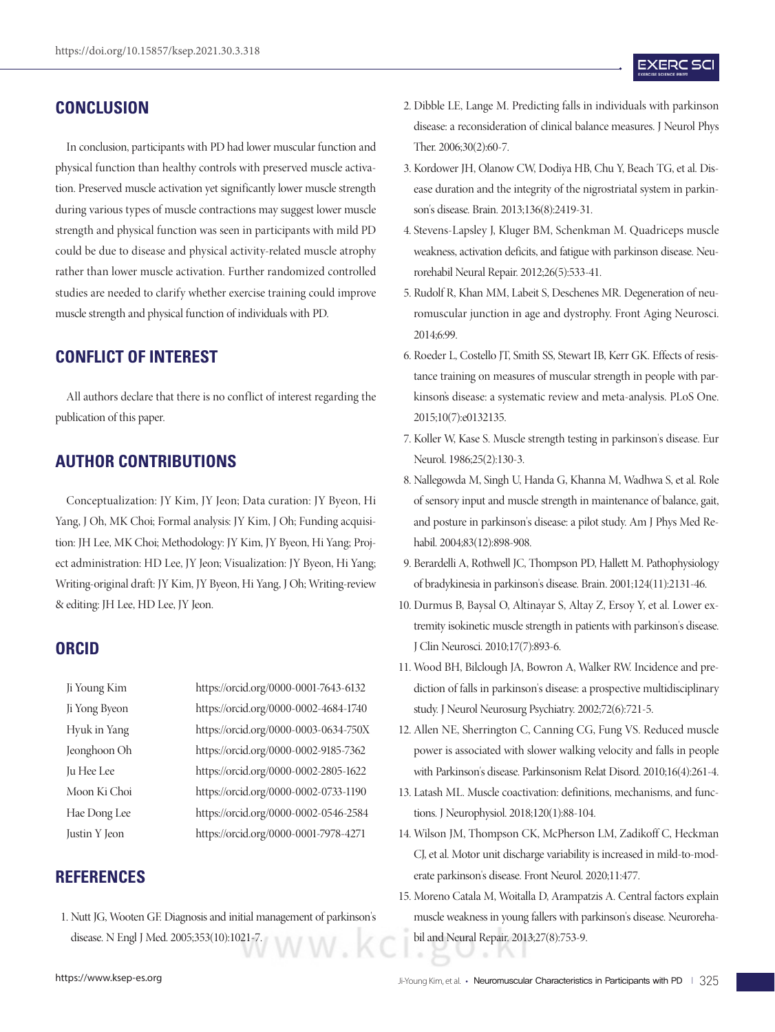# **CONCLUSION**

In conclusion, participants with PD had lower muscular function and physical function than healthy controls with preserved muscle activation. Preserved muscle activation yet significantly lower muscle strength during various types of muscle contractions may suggest lower muscle strength and physical function was seen in participants with mild PD could be due to disease and physical activity-related muscle atrophy rather than lower muscle activation. Further randomized controlled studies are needed to clarify whether exercise training could improve muscle strength and physical function of individuals with PD.

# **CONFLICT OF INTEREST**

All authors declare that there is no conflict of interest regarding the publication of this paper.

# **AUTHOR CONTRIBUTIONS**

Conceptualization: JY Kim, JY Jeon; Data curation: JY Byeon, Hi Yang, J Oh, MK Choi; Formal analysis: JY Kim, J Oh; Funding acquisition: JH Lee, MK Choi; Methodology: JY Kim, JY Byeon, Hi Yang; Project administration: HD Lee, JY Jeon; Visualization: JY Byeon, Hi Yang; Writing-original draft: JY Kim, JY Byeon, Hi Yang, J Oh; Writing-review & editing: JH Lee, HD Lee, JY Jeon.

### **ORCID**

Ji Young Kim https://orcid.org/0000-0001-7643-6132 Ji Yong Byeon https://orcid.org/0000-0002-4684-1740 Hyuk in Yang https://orcid.org/0000-0003-0634-750X Jeonghoon Oh https://orcid.org/0000-0002-9185-7362 Ju Hee Lee https://orcid.org/0000-0002-2805-1622 Moon Ki Choi https://orcid.org/0000-0002-0733-1190 Hae Dong Lee https://orcid.org/0000-0002-0546-2584 Justin Y Jeon https://orcid.org/0000-0001-7978-4271

# **REFERENCES**

- 
- 1. Nutt JG, Wooten GF. Diagnosis and initial management of parkinson's disease. N Engl J Med. 2005;353(10):1021-7.
- 2. Dibble LE, Lange M. Predicting falls in individuals with parkinson disease: a reconsideration of clinical balance measures. J Neurol Phys Ther. 2006;30(2):60-7.
- 3. Kordower JH, Olanow CW, Dodiya HB, Chu Y, Beach TG, et al. Disease duration and the integrity of the nigrostriatal system in parkinson's disease. Brain. 2013;136(8):2419-31.
- 4. Stevens-Lapsley J, Kluger BM, Schenkman M. Quadriceps muscle weakness, activation deficits, and fatigue with parkinson disease. Neurorehabil Neural Repair. 2012;26(5):533-41.
- 5. Rudolf R, Khan MM, Labeit S, Deschenes MR. Degeneration of neuromuscular junction in age and dystrophy. Front Aging Neurosci. 2014;6:99.
- 6. Roeder L, Costello JT, Smith SS, Stewart IB, Kerr GK. Effects of resistance training on measures of muscular strength in people with parkinson's disease: a systematic review and meta-analysis. PLoS One. 2015;10(7):e0132135.
- 7. Koller W, Kase S. Muscle strength testing in parkinson's disease. Eur Neurol. 1986;25(2):130-3.
- 8. Nallegowda M, Singh U, Handa G, Khanna M, Wadhwa S, et al. Role of sensory input and muscle strength in maintenance of balance, gait, and posture in parkinson's disease: a pilot study. Am J Phys Med Rehabil. 2004;83(12):898-908.
- 9. Berardelli A, Rothwell JC, Thompson PD, Hallett M. Pathophysiology of bradykinesia in parkinson's disease. Brain. 2001;124(11):2131-46.
- 10. Durmus B, Baysal O, Altinayar S, Altay Z, Ersoy Y, et al. Lower extremity isokinetic muscle strength in patients with parkinson's disease. J Clin Neurosci. 2010;17(7):893-6.
- 11. Wood BH, Bilclough JA, Bowron A, Walker RW. Incidence and prediction of falls in parkinson's disease: a prospective multidisciplinary study. J Neurol Neurosurg Psychiatry. 2002;72(6):721-5.
- 12. Allen NE, Sherrington C, Canning CG, Fung VS. Reduced muscle power is associated with slower walking velocity and falls in people with Parkinson's disease. Parkinsonism Relat Disord. 2010;16(4):261-4.
- 13. Latash ML. Muscle coactivation: definitions, mechanisms, and functions. J Neurophysiol. 2018;120(1):88-104.
- 14. Wilson JM, Thompson CK, McPherson LM, Zadikoff C, Heckman CJ, et al. Motor unit discharge variability is increased in mild-to-moderate parkinson's disease. Front Neurol. 2020;11:477.
- 15. Moreno Catala M, Woitalla D, Arampatzis A. Central factors explain muscle weakness in young fallers with parkinson's disease. Neurorehabil and Neural Repair. 2013;27(8):753-9.